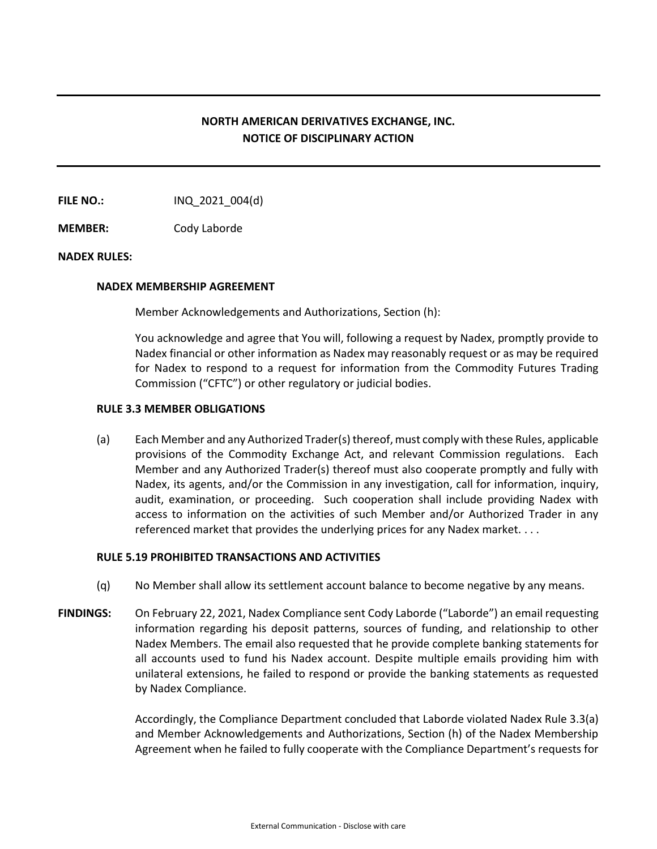# **NORTH AMERICAN DERIVATIVES EXCHANGE, INC. NOTICE OF DISCIPLINARY ACTION**

**FILE NO.:** INQ 2021 004(d)

**MEMBER:** Cody Laborde

## **NADEX RULES:**

#### **NADEX MEMBERSHIP AGREEMENT**

Member Acknowledgements and Authorizations, Section (h):

You acknowledge and agree that You will, following a request by Nadex, promptly provide to Nadex financial or other information as Nadex may reasonably request or as may be required for Nadex to respond to a request for information from the Commodity Futures Trading Commission ("CFTC") or other regulatory or judicial bodies.

#### **RULE 3.3 MEMBER OBLIGATIONS**

(a) Each Member and any Authorized Trader(s) thereof, must comply with these Rules, applicable provisions of the Commodity Exchange Act, and relevant Commission regulations. Each Member and any Authorized Trader(s) thereof must also cooperate promptly and fully with Nadex, its agents, and/or the Commission in any investigation, call for information, inquiry, audit, examination, or proceeding. Such cooperation shall include providing Nadex with access to information on the activities of such Member and/or Authorized Trader in any referenced market that provides the underlying prices for any Nadex market. . . .

## **RULE 5.19 PROHIBITED TRANSACTIONS AND ACTIVITIES**

- (q) No Member shall allow its settlement account balance to become negative by any means.
- FINDINGS: On February 22, 2021, Nadex Compliance sent Cody Laborde ("Laborde") an email requesting information regarding his deposit patterns, sources of funding, and relationship to other Nadex Members. The email also requested that he provide complete banking statements for all accounts used to fund his Nadex account. Despite multiple emails providing him with unilateral extensions, he failed to respond or provide the banking statements as requested by Nadex Compliance.

Accordingly, the Compliance Department concluded that Laborde violated Nadex Rule 3.3(a) and Member Acknowledgements and Authorizations, Section (h) of the Nadex Membership Agreement when he failed to fully cooperate with the Compliance Department's requests for